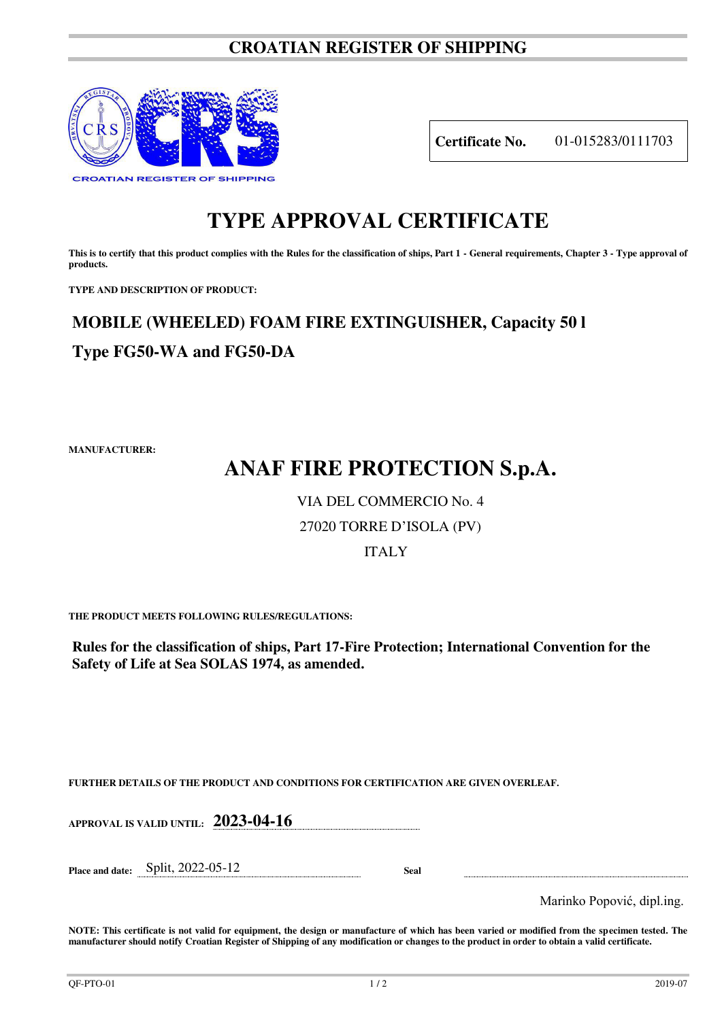### **CROATIAN REGISTER OF SHIPPING**



**Certificate No.** 01-015283/0111703

### **TYPE APPROVAL CERTIFICATE**

This is to certify that this product complies with the Rules for the classification of ships, Part 1 - General requirements, Chapter 3 - Type approval of **products.** 

**TYPE AND DESCRIPTION OF PRODUCT:** 

## **MOBILE (WHEELED) FOAM FIRE EXTINGUISHER, Capacity 50 l Type FG50-WA and FG50-DA**

**MANUFACTURER:**

# **ANAF FIRE PROTECTION S.p.A.**

### VIA DEL COMMERCIO No. 4

### 27020 TORRE D'ISOLA (PV)

### ITALY

**THE PRODUCT MEETS FOLLOWING RULES/REGULATIONS:**

**Rules for the classification of ships, Part 17-Fire Protection; International Convention for the Safety of Life at Sea SOLAS 1974, as amended.**

**FURTHER DETAILS OF THE PRODUCT AND CONDITIONS FOR CERTIFICATION ARE GIVEN OVERLEAF.**

**APPROVAL IS VALID UNTIL: 2023-04-16**

**Place and date:** Split, 2022-05-12 **Seal** 

Marinko Popović, dipl.ing.

**NOTE: This certificate is not valid for equipment, the design or manufacture of which has been varied or modified from the specimen tested. The manufacturer should notify Croatian Register of Shipping of any modification or changes to the product in order to obtain a valid certificate.**